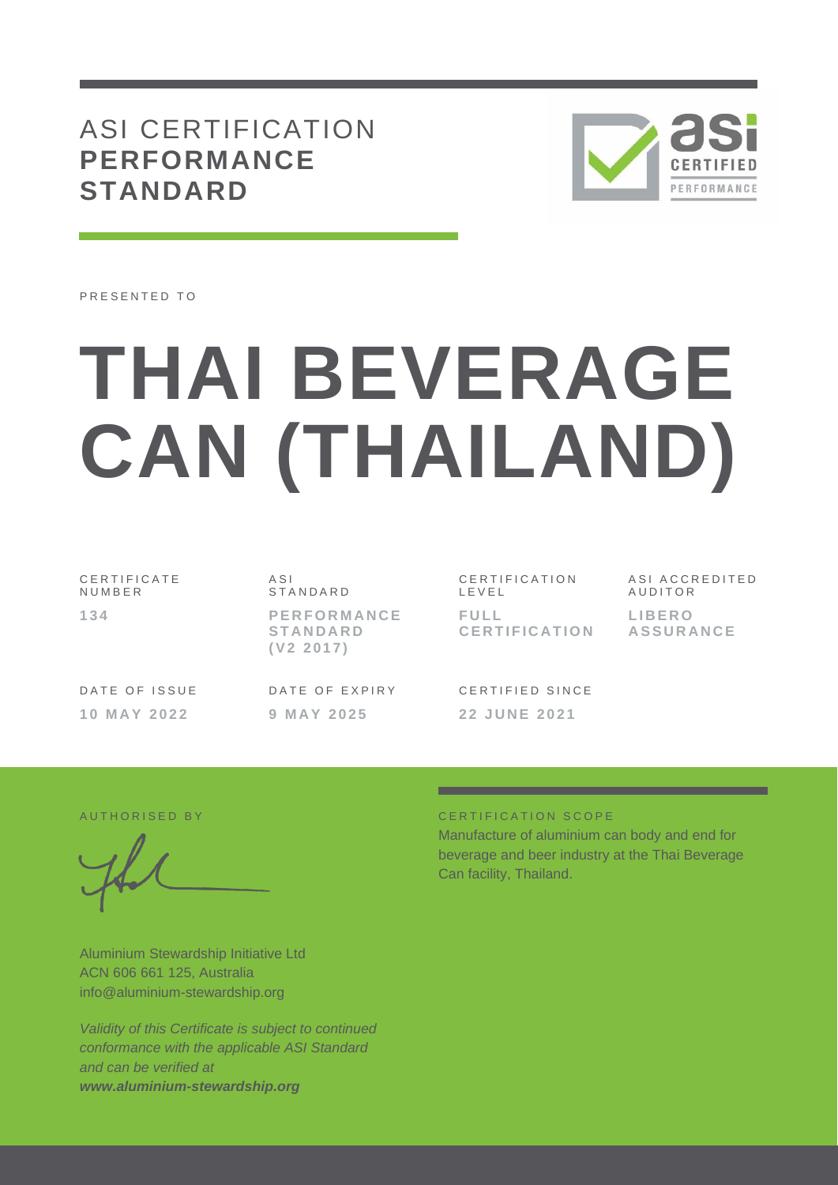## ASI CERTIFICATION **PERFORMANCE STANDARD**



PRESENTED TO

# **THAI BEVERAGE CAN (THAILAND)**

C E R T I F I C A T E N U M B E R **1 3 4**

DATE OF ISSUE **1 0 M A Y 2 0 2 2**

A S I **STANDARD P E R F O R M A N C E S T A N D A R D ( V 2 2 0 1 7 )**

DATE OF EXPIRY **9 M A Y 2 0 2 5**

C E R T I F I C A T I O N L E V E L **F U L L C E R T I F I C A T I O N** A S I A C C R E D I T E D **AUDITOR L I B E R O A S S U R A N C E**

CERTIFIED SINCE **2 2 J U N E 2021**

Aluminium Stewardship Initiative Ltd ACN 606 661 125, Australia info@aluminium-stewardship.org

*Validity of this Certificate is subject to continued conformance with the applicable ASI Standard and can be verified at www.aluminium-stewardship.org*

#### A UTHORISED BY CERTIFICATION SCOPE

Manufacture of aluminium can body and end for beverage and beer industry at the Thai Beverage Can facility, Thailand.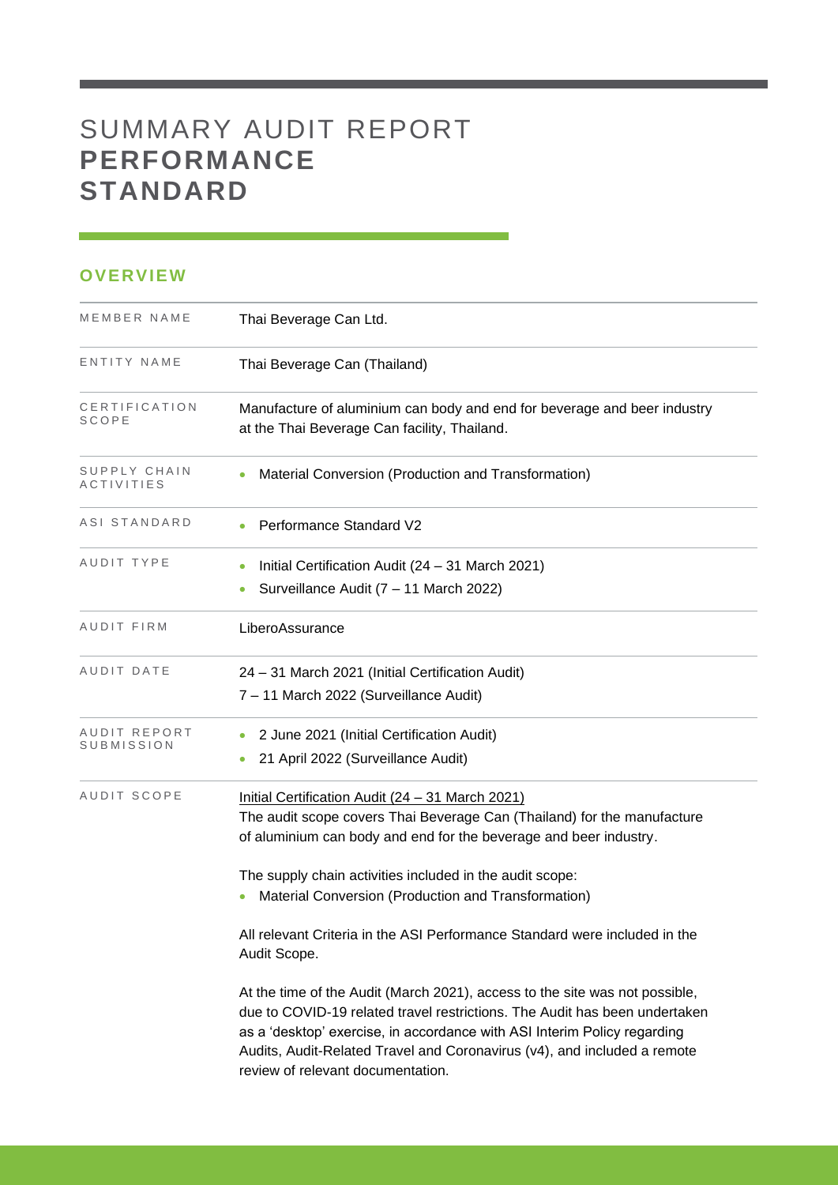# SUMMARY AUDIT REPORT **PERFORMANCE STANDARD**

### **OVERVIEW**

| MEMBER NAME                | Thai Beverage Can Ltd.                                                                                                                                                                                                                                                                                                                                 |
|----------------------------|--------------------------------------------------------------------------------------------------------------------------------------------------------------------------------------------------------------------------------------------------------------------------------------------------------------------------------------------------------|
| ENTITY NAME                | Thai Beverage Can (Thailand)                                                                                                                                                                                                                                                                                                                           |
| CERTIFICATION<br>SCOPE     | Manufacture of aluminium can body and end for beverage and beer industry<br>at the Thai Beverage Can facility, Thailand.                                                                                                                                                                                                                               |
| SUPPLY CHAIN<br>ACTIVITIES | Material Conversion (Production and Transformation)                                                                                                                                                                                                                                                                                                    |
| ASI STANDARD               | Performance Standard V2                                                                                                                                                                                                                                                                                                                                |
| AUDIT TYPE                 | Initial Certification Audit (24 - 31 March 2021)<br>Surveillance Audit (7 - 11 March 2022)                                                                                                                                                                                                                                                             |
| AUDIT FIRM                 | LiberoAssurance                                                                                                                                                                                                                                                                                                                                        |
| AUDIT DATE                 | 24 - 31 March 2021 (Initial Certification Audit)<br>7 - 11 March 2022 (Surveillance Audit)                                                                                                                                                                                                                                                             |
| AUDIT REPORT<br>SUBMISSION | 2 June 2021 (Initial Certification Audit)<br>21 April 2022 (Surveillance Audit)                                                                                                                                                                                                                                                                        |
| AUDIT SCOPE                | Initial Certification Audit (24 - 31 March 2021)<br>The audit scope covers Thai Beverage Can (Thailand) for the manufacture<br>of aluminium can body and end for the beverage and beer industry.                                                                                                                                                       |
|                            | The supply chain activities included in the audit scope:<br>Material Conversion (Production and Transformation)                                                                                                                                                                                                                                        |
|                            | All relevant Criteria in the ASI Performance Standard were included in the<br>Audit Scope.                                                                                                                                                                                                                                                             |
|                            | At the time of the Audit (March 2021), access to the site was not possible,<br>due to COVID-19 related travel restrictions. The Audit has been undertaken<br>as a 'desktop' exercise, in accordance with ASI Interim Policy regarding<br>Audits, Audit-Related Travel and Coronavirus (v4), and included a remote<br>review of relevant documentation. |

and the control of the control of the control of the control of the control of the control of the control of the control of the control of the control of the control of the control of the control of the control of the cont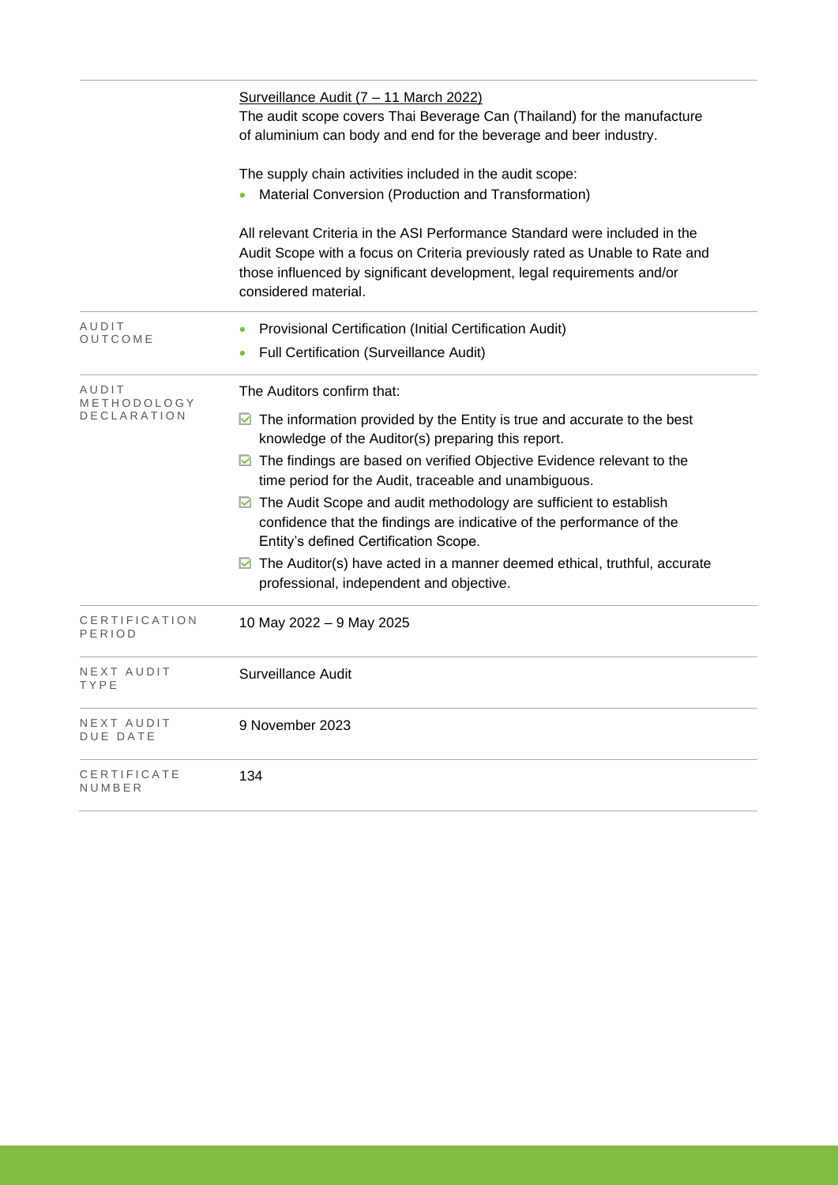|                                     | Surveillance Audit (7 - 11 March 2022)<br>The audit scope covers Thai Beverage Can (Thailand) for the manufacture<br>of aluminium can body and end for the beverage and beer industry.                                                                      |  |  |  |  |
|-------------------------------------|-------------------------------------------------------------------------------------------------------------------------------------------------------------------------------------------------------------------------------------------------------------|--|--|--|--|
|                                     | The supply chain activities included in the audit scope:<br>Material Conversion (Production and Transformation)                                                                                                                                             |  |  |  |  |
|                                     | All relevant Criteria in the ASI Performance Standard were included in the<br>Audit Scope with a focus on Criteria previously rated as Unable to Rate and<br>those influenced by significant development, legal requirements and/or<br>considered material. |  |  |  |  |
| AUDIT<br>OUTCOME                    | Provisional Certification (Initial Certification Audit)<br>Full Certification (Surveillance Audit)                                                                                                                                                          |  |  |  |  |
| AUDIT<br>METHODOLOGY<br>DECLARATION | The Auditors confirm that:                                                                                                                                                                                                                                  |  |  |  |  |
|                                     | $\blacksquare$ The information provided by the Entity is true and accurate to the best<br>knowledge of the Auditor(s) preparing this report.                                                                                                                |  |  |  |  |
|                                     | ◘ The findings are based on verified Objective Evidence relevant to the<br>time period for the Audit, traceable and unambiguous.                                                                                                                            |  |  |  |  |
|                                     | ◘ The Audit Scope and audit methodology are sufficient to establish<br>confidence that the findings are indicative of the performance of the<br>Entity's defined Certification Scope.                                                                       |  |  |  |  |
|                                     | $\triangleright$ The Auditor(s) have acted in a manner deemed ethical, truthful, accurate<br>professional, independent and objective.                                                                                                                       |  |  |  |  |
| CERTIFICATION<br>PERIOD             | 10 May 2022 - 9 May 2025                                                                                                                                                                                                                                    |  |  |  |  |
| NEXT AUDIT<br>TYPE                  | Surveillance Audit                                                                                                                                                                                                                                          |  |  |  |  |
| NEXT AUDIT<br>DUE DATE              | 9 November 2023                                                                                                                                                                                                                                             |  |  |  |  |
| CERTIFICATE<br>NUMBER               | 134                                                                                                                                                                                                                                                         |  |  |  |  |
|                                     |                                                                                                                                                                                                                                                             |  |  |  |  |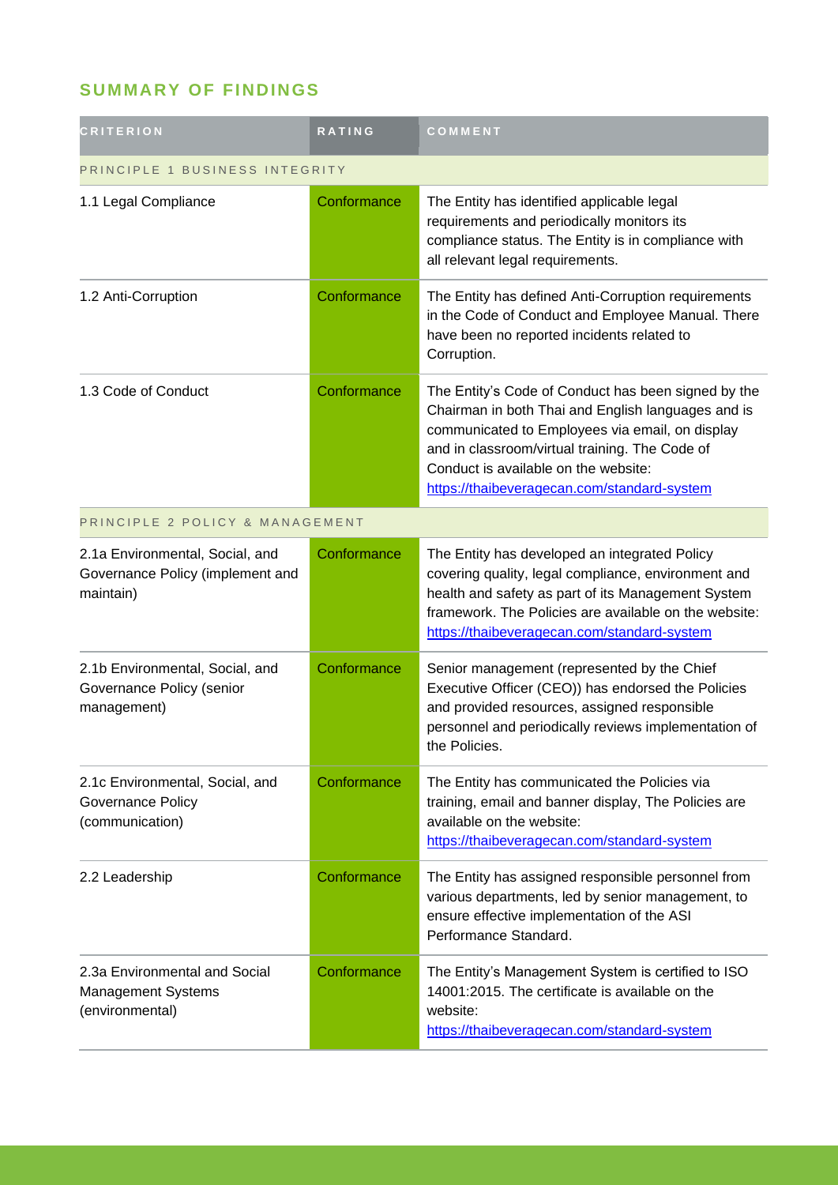## **SUMMARY OF FINDINGS**

| CRITERION                                                                        | <b>RATING</b> | COMMENT                                                                                                                                                                                                                                                                                               |
|----------------------------------------------------------------------------------|---------------|-------------------------------------------------------------------------------------------------------------------------------------------------------------------------------------------------------------------------------------------------------------------------------------------------------|
| PRINCIPLE 1 BUSINESS INTEGRITY                                                   |               |                                                                                                                                                                                                                                                                                                       |
| 1.1 Legal Compliance                                                             | Conformance   | The Entity has identified applicable legal<br>requirements and periodically monitors its<br>compliance status. The Entity is in compliance with<br>all relevant legal requirements.                                                                                                                   |
| 1.2 Anti-Corruption                                                              | Conformance   | The Entity has defined Anti-Corruption requirements<br>in the Code of Conduct and Employee Manual. There<br>have been no reported incidents related to<br>Corruption.                                                                                                                                 |
| 1.3 Code of Conduct                                                              | Conformance   | The Entity's Code of Conduct has been signed by the<br>Chairman in both Thai and English languages and is<br>communicated to Employees via email, on display<br>and in classroom/virtual training. The Code of<br>Conduct is available on the website:<br>https://thaibeveragecan.com/standard-system |
| PRINCIPLE 2 POLICY & MANAGEMENT                                                  |               |                                                                                                                                                                                                                                                                                                       |
| 2.1a Environmental, Social, and<br>Governance Policy (implement and<br>maintain) | Conformance   | The Entity has developed an integrated Policy<br>covering quality, legal compliance, environment and<br>health and safety as part of its Management System<br>framework. The Policies are available on the website:<br>https://thaibeveragecan.com/standard-system                                    |
| 2.1b Environmental, Social, and<br>Governance Policy (senior<br>management)      | Conformance   | Senior management (represented by the Chief<br>Executive Officer (CEO)) has endorsed the Policies<br>and provided resources, assigned responsible<br>personnel and periodically reviews implementation of<br>the Policies.                                                                            |
| 2.1c Environmental, Social, and<br>Governance Policy<br>(communication)          | Conformance   | The Entity has communicated the Policies via<br>training, email and banner display, The Policies are<br>available on the website:<br>https://thaibeveragecan.com/standard-system                                                                                                                      |
| 2.2 Leadership                                                                   | Conformance   | The Entity has assigned responsible personnel from<br>various departments, led by senior management, to<br>ensure effective implementation of the ASI<br>Performance Standard.                                                                                                                        |
| 2.3a Environmental and Social<br><b>Management Systems</b><br>(environmental)    | Conformance   | The Entity's Management System is certified to ISO<br>14001:2015. The certificate is available on the<br>website:<br>https://thaibeveragecan.com/standard-system                                                                                                                                      |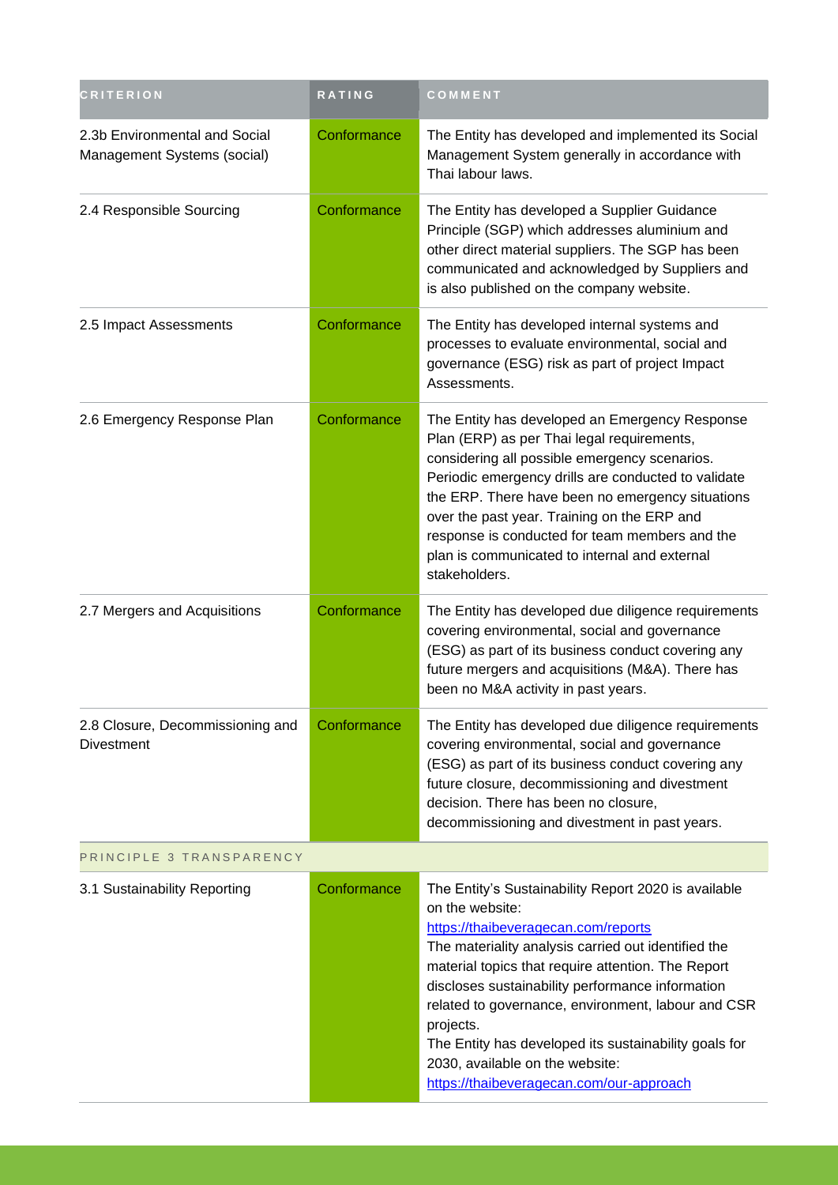| <b>CRITERION</b>                                             | RATING      | COMMENT                                                                                                                                                                                                                                                                                                                                                                                                                                                                                    |
|--------------------------------------------------------------|-------------|--------------------------------------------------------------------------------------------------------------------------------------------------------------------------------------------------------------------------------------------------------------------------------------------------------------------------------------------------------------------------------------------------------------------------------------------------------------------------------------------|
| 2.3b Environmental and Social<br>Management Systems (social) | Conformance | The Entity has developed and implemented its Social<br>Management System generally in accordance with<br>Thai labour laws.                                                                                                                                                                                                                                                                                                                                                                 |
| 2.4 Responsible Sourcing                                     | Conformance | The Entity has developed a Supplier Guidance<br>Principle (SGP) which addresses aluminium and<br>other direct material suppliers. The SGP has been<br>communicated and acknowledged by Suppliers and<br>is also published on the company website.                                                                                                                                                                                                                                          |
| 2.5 Impact Assessments                                       | Conformance | The Entity has developed internal systems and<br>processes to evaluate environmental, social and<br>governance (ESG) risk as part of project Impact<br>Assessments.                                                                                                                                                                                                                                                                                                                        |
| 2.6 Emergency Response Plan                                  | Conformance | The Entity has developed an Emergency Response<br>Plan (ERP) as per Thai legal requirements,<br>considering all possible emergency scenarios.<br>Periodic emergency drills are conducted to validate<br>the ERP. There have been no emergency situations<br>over the past year. Training on the ERP and<br>response is conducted for team members and the<br>plan is communicated to internal and external<br>stakeholders.                                                                |
| 2.7 Mergers and Acquisitions                                 | Conformance | The Entity has developed due diligence requirements<br>covering environmental, social and governance<br>(ESG) as part of its business conduct covering any<br>future mergers and acquisitions (M&A). There has<br>been no M&A activity in past years.                                                                                                                                                                                                                                      |
| 2.8 Closure, Decommissioning and<br><b>Divestment</b>        | Conformance | The Entity has developed due diligence requirements<br>covering environmental, social and governance<br>(ESG) as part of its business conduct covering any<br>future closure, decommissioning and divestment<br>decision. There has been no closure,<br>decommissioning and divestment in past years.                                                                                                                                                                                      |
| PRINCIPLE 3 TRANSPARENCY                                     |             |                                                                                                                                                                                                                                                                                                                                                                                                                                                                                            |
| 3.1 Sustainability Reporting                                 | Conformance | The Entity's Sustainability Report 2020 is available<br>on the website:<br>https://thaibeveragecan.com/reports<br>The materiality analysis carried out identified the<br>material topics that require attention. The Report<br>discloses sustainability performance information<br>related to governance, environment, labour and CSR<br>projects.<br>The Entity has developed its sustainability goals for<br>2030, available on the website:<br>https://thaibeveragecan.com/our-approach |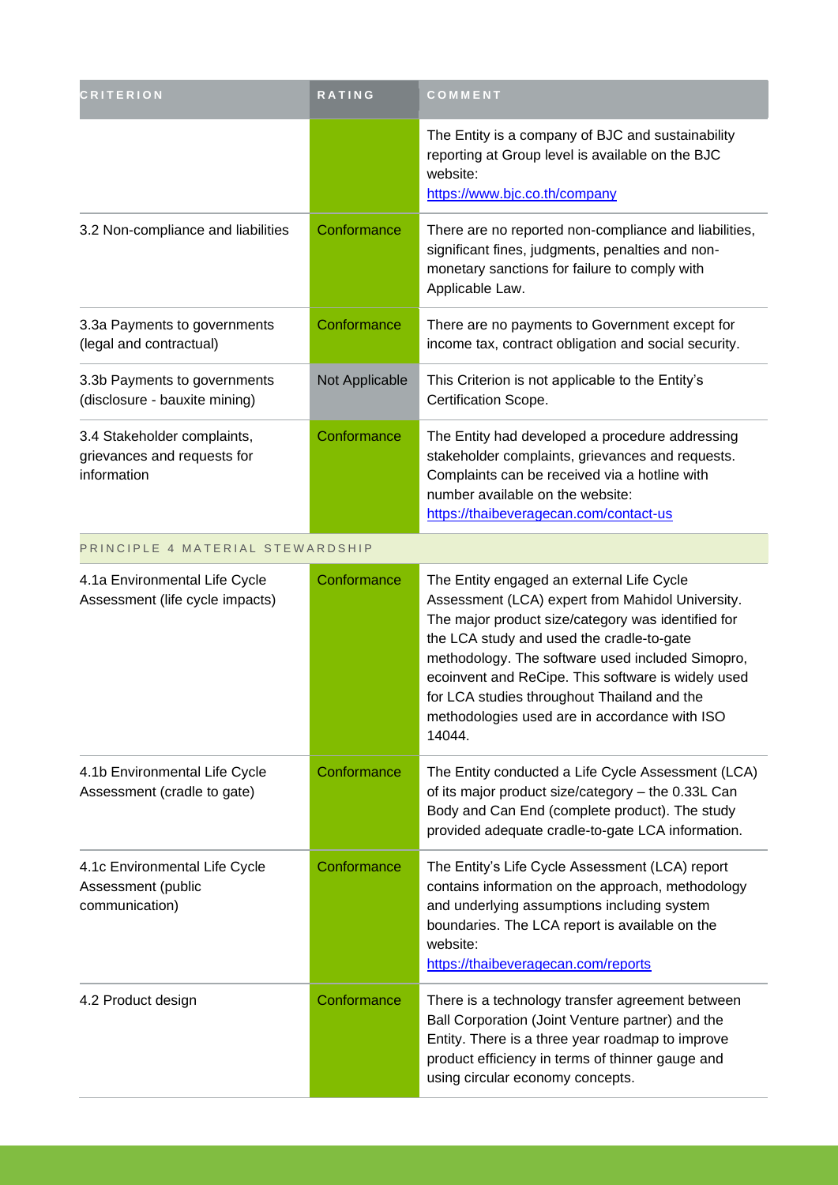| <b>CRITERION</b>                                                          | RATING         | COMMENT                                                                                                                                                                                                                                                                                                                                                                                                              |
|---------------------------------------------------------------------------|----------------|----------------------------------------------------------------------------------------------------------------------------------------------------------------------------------------------------------------------------------------------------------------------------------------------------------------------------------------------------------------------------------------------------------------------|
|                                                                           |                | The Entity is a company of BJC and sustainability<br>reporting at Group level is available on the BJC<br>website:<br>https://www.bjc.co.th/company                                                                                                                                                                                                                                                                   |
| 3.2 Non-compliance and liabilities                                        | Conformance    | There are no reported non-compliance and liabilities,<br>significant fines, judgments, penalties and non-<br>monetary sanctions for failure to comply with<br>Applicable Law.                                                                                                                                                                                                                                        |
| 3.3a Payments to governments<br>(legal and contractual)                   | Conformance    | There are no payments to Government except for<br>income tax, contract obligation and social security.                                                                                                                                                                                                                                                                                                               |
| 3.3b Payments to governments<br>(disclosure - bauxite mining)             | Not Applicable | This Criterion is not applicable to the Entity's<br>Certification Scope.                                                                                                                                                                                                                                                                                                                                             |
| 3.4 Stakeholder complaints,<br>grievances and requests for<br>information | Conformance    | The Entity had developed a procedure addressing<br>stakeholder complaints, grievances and requests.<br>Complaints can be received via a hotline with<br>number available on the website:<br>https://thaibeveragecan.com/contact-us                                                                                                                                                                                   |
| PRINCIPLE 4 MATERIAL STEWARDSHIP                                          |                |                                                                                                                                                                                                                                                                                                                                                                                                                      |
| 4.1a Environmental Life Cycle<br>Assessment (life cycle impacts)          | Conformance    | The Entity engaged an external Life Cycle<br>Assessment (LCA) expert from Mahidol University.<br>The major product size/category was identified for<br>the LCA study and used the cradle-to-gate<br>methodology. The software used included Simopro,<br>ecoinvent and ReCipe. This software is widely used<br>for LCA studies throughout Thailand and the<br>methodologies used are in accordance with ISO<br>14044. |
| 4.1b Environmental Life Cycle<br>Assessment (cradle to gate)              | Conformance    | The Entity conducted a Life Cycle Assessment (LCA)<br>of its major product size/category - the 0.33L Can<br>Body and Can End (complete product). The study<br>provided adequate cradle-to-gate LCA information.                                                                                                                                                                                                      |
| 4.1c Environmental Life Cycle<br>Assessment (public<br>communication)     | Conformance    | The Entity's Life Cycle Assessment (LCA) report<br>contains information on the approach, methodology<br>and underlying assumptions including system<br>boundaries. The LCA report is available on the<br>website:<br>https://thaibeveragecan.com/reports                                                                                                                                                             |
| 4.2 Product design                                                        | Conformance    | There is a technology transfer agreement between<br>Ball Corporation (Joint Venture partner) and the<br>Entity. There is a three year roadmap to improve<br>product efficiency in terms of thinner gauge and<br>using circular economy concepts.                                                                                                                                                                     |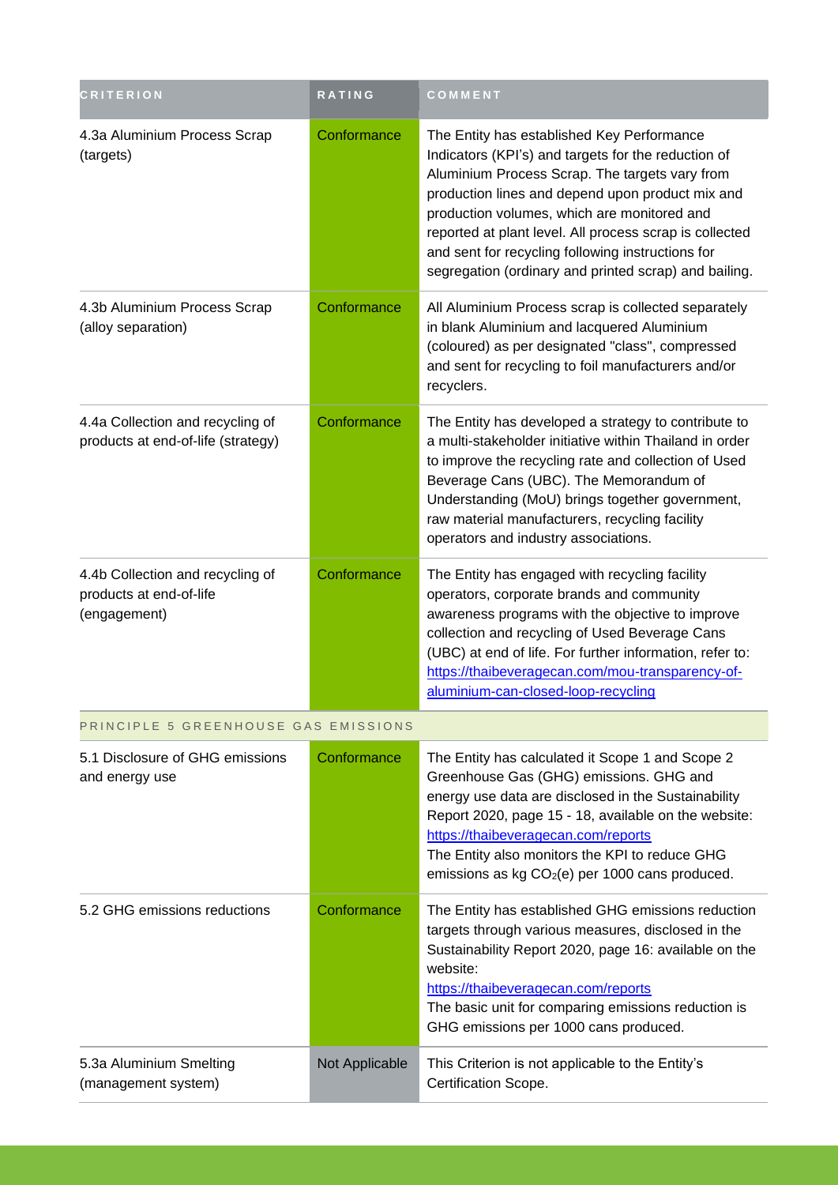| <b>CRITERION</b>                                                            | RATING         | COMMENT                                                                                                                                                                                                                                                                                                                                                                                                                         |
|-----------------------------------------------------------------------------|----------------|---------------------------------------------------------------------------------------------------------------------------------------------------------------------------------------------------------------------------------------------------------------------------------------------------------------------------------------------------------------------------------------------------------------------------------|
| 4.3a Aluminium Process Scrap<br>(targets)                                   | Conformance    | The Entity has established Key Performance<br>Indicators (KPI's) and targets for the reduction of<br>Aluminium Process Scrap. The targets vary from<br>production lines and depend upon product mix and<br>production volumes, which are monitored and<br>reported at plant level. All process scrap is collected<br>and sent for recycling following instructions for<br>segregation (ordinary and printed scrap) and bailing. |
| 4.3b Aluminium Process Scrap<br>(alloy separation)                          | Conformance    | All Aluminium Process scrap is collected separately<br>in blank Aluminium and lacquered Aluminium<br>(coloured) as per designated "class", compressed<br>and sent for recycling to foil manufacturers and/or<br>recyclers.                                                                                                                                                                                                      |
| 4.4a Collection and recycling of<br>products at end-of-life (strategy)      | Conformance    | The Entity has developed a strategy to contribute to<br>a multi-stakeholder initiative within Thailand in order<br>to improve the recycling rate and collection of Used<br>Beverage Cans (UBC). The Memorandum of<br>Understanding (MoU) brings together government,<br>raw material manufacturers, recycling facility<br>operators and industry associations.                                                                  |
| 4.4b Collection and recycling of<br>products at end-of-life<br>(engagement) | Conformance    | The Entity has engaged with recycling facility<br>operators, corporate brands and community<br>awareness programs with the objective to improve<br>collection and recycling of Used Beverage Cans<br>(UBC) at end of life. For further information, refer to:<br>https://thaibeveragecan.com/mou-transparency-of-<br>aluminium-can-closed-loop-recycling                                                                        |
| PRINCIPLE 5 GREENHOUSE GAS EMISSIONS                                        |                |                                                                                                                                                                                                                                                                                                                                                                                                                                 |
| 5.1 Disclosure of GHG emissions<br>and energy use                           | Conformance    | The Entity has calculated it Scope 1 and Scope 2<br>Greenhouse Gas (GHG) emissions. GHG and<br>energy use data are disclosed in the Sustainability<br>Report 2020, page 15 - 18, available on the website:<br>https://thaibeveragecan.com/reports<br>The Entity also monitors the KPI to reduce GHG<br>emissions as kg CO <sub>2</sub> (e) per 1000 cans produced.                                                              |
| 5.2 GHG emissions reductions                                                | Conformance    | The Entity has established GHG emissions reduction<br>targets through various measures, disclosed in the<br>Sustainability Report 2020, page 16: available on the<br>website:<br>https://thaibeveragecan.com/reports<br>The basic unit for comparing emissions reduction is<br>GHG emissions per 1000 cans produced.                                                                                                            |
| 5.3a Aluminium Smelting<br>(management system)                              | Not Applicable | This Criterion is not applicable to the Entity's<br>Certification Scope.                                                                                                                                                                                                                                                                                                                                                        |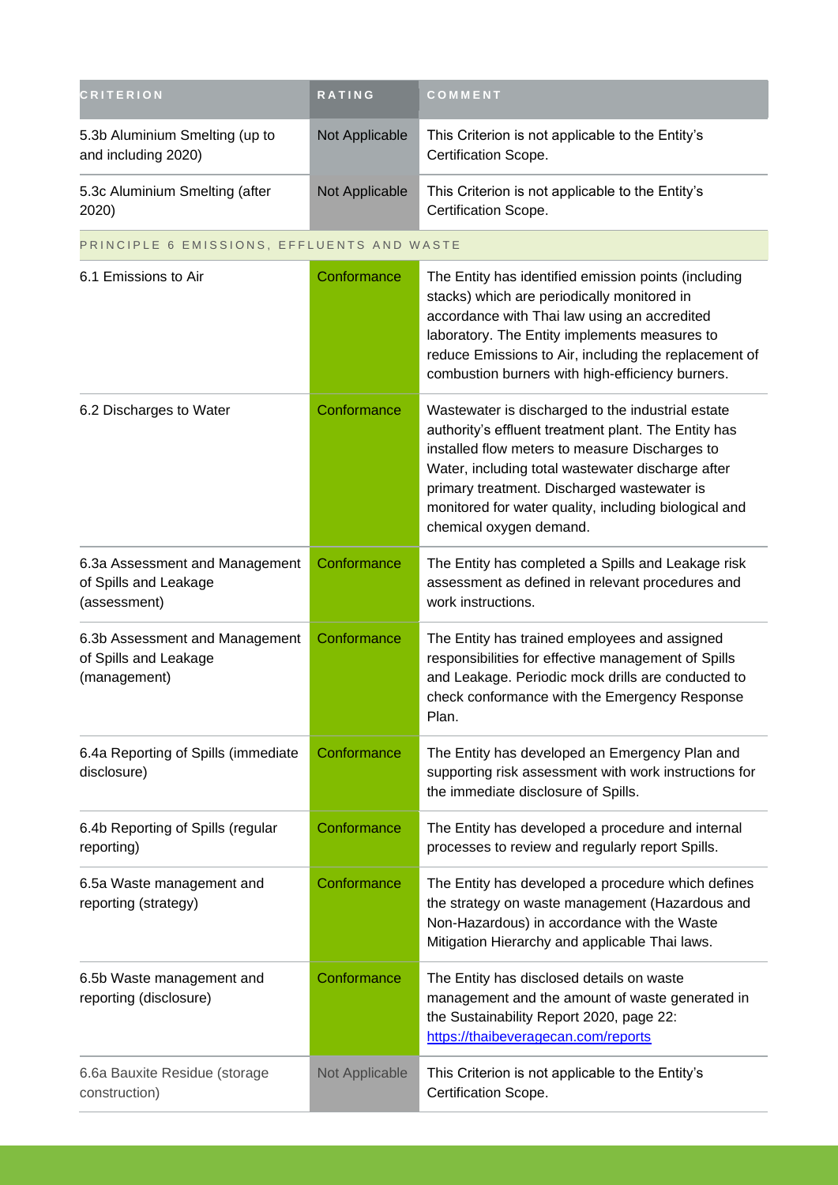| <b>CRITERION</b>                                                        | <b>RATING</b>  | COMMENT                                                                                                                                                                                                                                                                                                                                             |
|-------------------------------------------------------------------------|----------------|-----------------------------------------------------------------------------------------------------------------------------------------------------------------------------------------------------------------------------------------------------------------------------------------------------------------------------------------------------|
| 5.3b Aluminium Smelting (up to<br>and including 2020)                   | Not Applicable | This Criterion is not applicable to the Entity's<br>Certification Scope.                                                                                                                                                                                                                                                                            |
| 5.3c Aluminium Smelting (after<br>2020)                                 | Not Applicable | This Criterion is not applicable to the Entity's<br>Certification Scope.                                                                                                                                                                                                                                                                            |
| PRINCIPLE 6 EMISSIONS, EFFLUENTS AND WASTE                              |                |                                                                                                                                                                                                                                                                                                                                                     |
| 6.1 Emissions to Air                                                    | Conformance    | The Entity has identified emission points (including<br>stacks) which are periodically monitored in<br>accordance with Thai law using an accredited<br>laboratory. The Entity implements measures to<br>reduce Emissions to Air, including the replacement of<br>combustion burners with high-efficiency burners.                                   |
| 6.2 Discharges to Water                                                 | Conformance    | Wastewater is discharged to the industrial estate<br>authority's effluent treatment plant. The Entity has<br>installed flow meters to measure Discharges to<br>Water, including total wastewater discharge after<br>primary treatment. Discharged wastewater is<br>monitored for water quality, including biological and<br>chemical oxygen demand. |
| 6.3a Assessment and Management<br>of Spills and Leakage<br>(assessment) | Conformance    | The Entity has completed a Spills and Leakage risk<br>assessment as defined in relevant procedures and<br>work instructions.                                                                                                                                                                                                                        |
| 6.3b Assessment and Management<br>of Spills and Leakage<br>(management) | Conformance    | The Entity has trained employees and assigned<br>responsibilities for effective management of Spills<br>and Leakage. Periodic mock drills are conducted to<br>check conformance with the Emergency Response<br>Plan.                                                                                                                                |
| 6.4a Reporting of Spills (immediate<br>disclosure)                      | Conformance    | The Entity has developed an Emergency Plan and<br>supporting risk assessment with work instructions for<br>the immediate disclosure of Spills.                                                                                                                                                                                                      |
| 6.4b Reporting of Spills (regular<br>reporting)                         | Conformance    | The Entity has developed a procedure and internal<br>processes to review and regularly report Spills.                                                                                                                                                                                                                                               |
| 6.5a Waste management and<br>reporting (strategy)                       | Conformance    | The Entity has developed a procedure which defines<br>the strategy on waste management (Hazardous and<br>Non-Hazardous) in accordance with the Waste<br>Mitigation Hierarchy and applicable Thai laws.                                                                                                                                              |
| 6.5b Waste management and<br>reporting (disclosure)                     | Conformance    | The Entity has disclosed details on waste<br>management and the amount of waste generated in<br>the Sustainability Report 2020, page 22:<br>https://thaibeveragecan.com/reports                                                                                                                                                                     |
| 6.6a Bauxite Residue (storage<br>construction)                          | Not Applicable | This Criterion is not applicable to the Entity's<br>Certification Scope.                                                                                                                                                                                                                                                                            |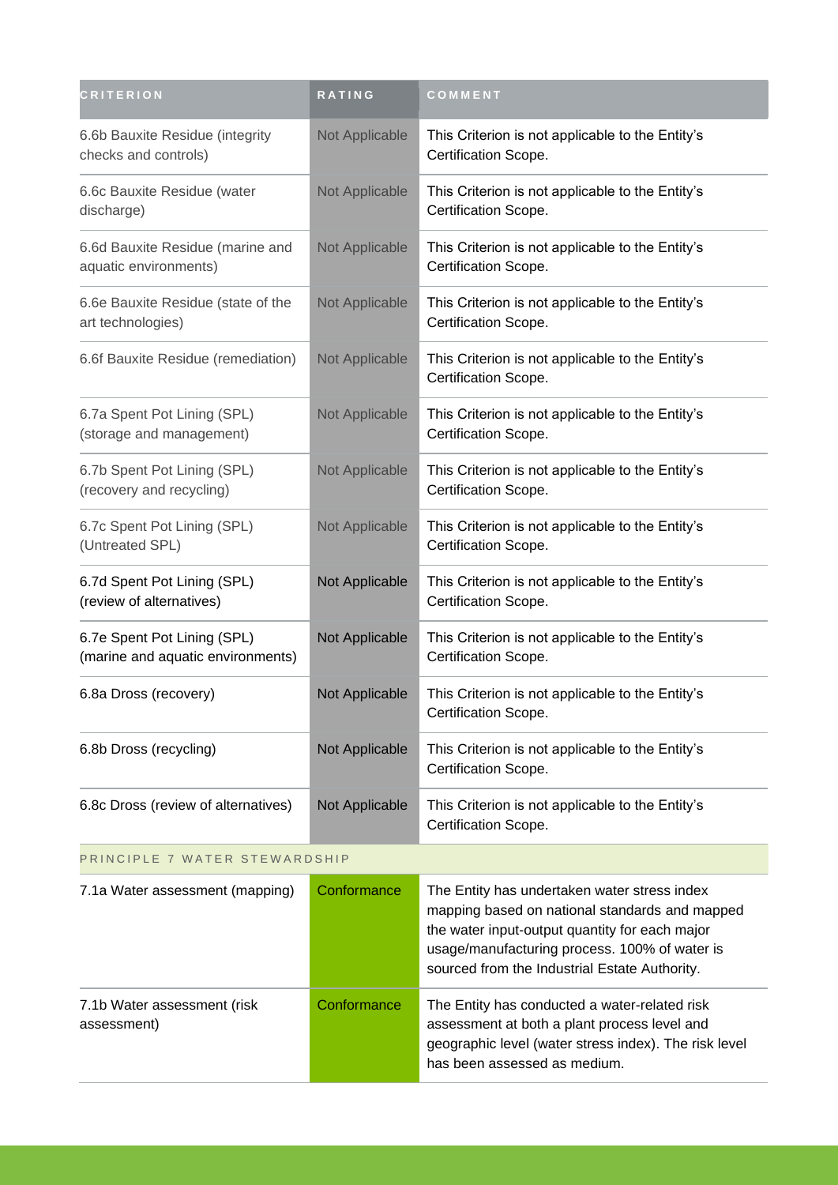| <b>CRITERION</b>                                                 | RATING         | COMMENT                                                                                                                                                                                                                                            |  |
|------------------------------------------------------------------|----------------|----------------------------------------------------------------------------------------------------------------------------------------------------------------------------------------------------------------------------------------------------|--|
| 6.6b Bauxite Residue (integrity<br>checks and controls)          | Not Applicable | This Criterion is not applicable to the Entity's<br>Certification Scope.                                                                                                                                                                           |  |
| 6.6c Bauxite Residue (water<br>discharge)                        | Not Applicable | This Criterion is not applicable to the Entity's<br>Certification Scope.                                                                                                                                                                           |  |
| 6.6d Bauxite Residue (marine and<br>aquatic environments)        | Not Applicable | This Criterion is not applicable to the Entity's<br>Certification Scope.                                                                                                                                                                           |  |
| 6.6e Bauxite Residue (state of the<br>art technologies)          | Not Applicable | This Criterion is not applicable to the Entity's<br>Certification Scope.                                                                                                                                                                           |  |
| 6.6f Bauxite Residue (remediation)                               | Not Applicable | This Criterion is not applicable to the Entity's<br>Certification Scope.                                                                                                                                                                           |  |
| 6.7a Spent Pot Lining (SPL)<br>(storage and management)          | Not Applicable | This Criterion is not applicable to the Entity's<br>Certification Scope.                                                                                                                                                                           |  |
| 6.7b Spent Pot Lining (SPL)<br>(recovery and recycling)          | Not Applicable | This Criterion is not applicable to the Entity's<br>Certification Scope.                                                                                                                                                                           |  |
| 6.7c Spent Pot Lining (SPL)<br>(Untreated SPL)                   | Not Applicable | This Criterion is not applicable to the Entity's<br>Certification Scope.                                                                                                                                                                           |  |
| 6.7d Spent Pot Lining (SPL)<br>(review of alternatives)          | Not Applicable | This Criterion is not applicable to the Entity's<br>Certification Scope.                                                                                                                                                                           |  |
| 6.7e Spent Pot Lining (SPL)<br>(marine and aquatic environments) | Not Applicable | This Criterion is not applicable to the Entity's<br>Certification Scope.                                                                                                                                                                           |  |
| 6.8a Dross (recovery)                                            | Not Applicable | This Criterion is not applicable to the Entity's<br>Certification Scope.                                                                                                                                                                           |  |
| 6.8b Dross (recycling)                                           | Not Applicable | This Criterion is not applicable to the Entity's<br>Certification Scope.                                                                                                                                                                           |  |
| 6.8c Dross (review of alternatives)                              | Not Applicable | This Criterion is not applicable to the Entity's<br>Certification Scope.                                                                                                                                                                           |  |
| PRINCIPLE 7 WATER STEWARDSHIP                                    |                |                                                                                                                                                                                                                                                    |  |
| 7.1a Water assessment (mapping)                                  | Conformance    | The Entity has undertaken water stress index<br>mapping based on national standards and mapped<br>the water input-output quantity for each major<br>usage/manufacturing process. 100% of water is<br>sourced from the Industrial Estate Authority. |  |
| 7.1b Water assessment (risk<br>assessment)                       | Conformance    | The Entity has conducted a water-related risk<br>assessment at both a plant process level and<br>geographic level (water stress index). The risk level<br>has been assessed as medium.                                                             |  |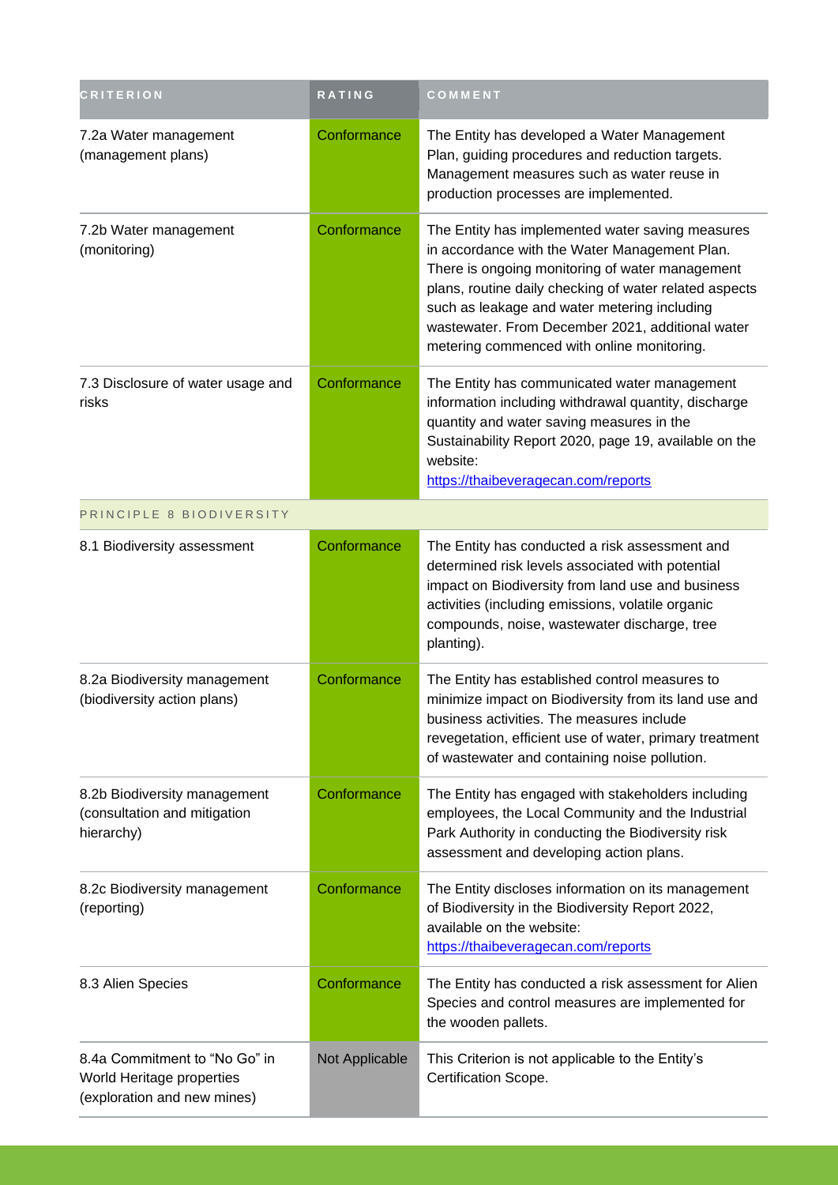| <b>CRITERION</b>                                                                          | RATING         | COMMENT                                                                                                                                                                                                                                                                                                                                                          |
|-------------------------------------------------------------------------------------------|----------------|------------------------------------------------------------------------------------------------------------------------------------------------------------------------------------------------------------------------------------------------------------------------------------------------------------------------------------------------------------------|
| 7.2a Water management<br>(management plans)                                               | Conformance    | The Entity has developed a Water Management<br>Plan, guiding procedures and reduction targets.<br>Management measures such as water reuse in<br>production processes are implemented.                                                                                                                                                                            |
| 7.2b Water management<br>(monitoring)                                                     | Conformance    | The Entity has implemented water saving measures<br>in accordance with the Water Management Plan.<br>There is ongoing monitoring of water management<br>plans, routine daily checking of water related aspects<br>such as leakage and water metering including<br>wastewater. From December 2021, additional water<br>metering commenced with online monitoring. |
| 7.3 Disclosure of water usage and<br>risks                                                | Conformance    | The Entity has communicated water management<br>information including withdrawal quantity, discharge<br>quantity and water saving measures in the<br>Sustainability Report 2020, page 19, available on the<br>website:<br>https://thaibeveragecan.com/reports                                                                                                    |
| PRINCIPLE 8 BIODIVERSITY                                                                  |                |                                                                                                                                                                                                                                                                                                                                                                  |
| 8.1 Biodiversity assessment                                                               | Conformance    | The Entity has conducted a risk assessment and<br>determined risk levels associated with potential<br>impact on Biodiversity from land use and business<br>activities (including emissions, volatile organic<br>compounds, noise, wastewater discharge, tree<br>planting).                                                                                       |
| 8.2a Biodiversity management<br>(biodiversity action plans)                               | Conformance    | The Entity has established control measures to<br>minimize impact on Biodiversity from its land use and<br>business activities. The measures include<br>revegetation, efficient use of water, primary treatment<br>of wastewater and containing noise pollution.                                                                                                 |
| 8.2b Biodiversity management<br>(consultation and mitigation<br>hierarchy)                | Conformance    | The Entity has engaged with stakeholders including<br>employees, the Local Community and the Industrial<br>Park Authority in conducting the Biodiversity risk<br>assessment and developing action plans.                                                                                                                                                         |
| 8.2c Biodiversity management<br>(reporting)                                               | Conformance    | The Entity discloses information on its management<br>of Biodiversity in the Biodiversity Report 2022,<br>available on the website:<br>https://thaibeveragecan.com/reports                                                                                                                                                                                       |
| 8.3 Alien Species                                                                         | Conformance    | The Entity has conducted a risk assessment for Alien<br>Species and control measures are implemented for<br>the wooden pallets.                                                                                                                                                                                                                                  |
| 8.4a Commitment to "No Go" in<br>World Heritage properties<br>(exploration and new mines) | Not Applicable | This Criterion is not applicable to the Entity's<br>Certification Scope.                                                                                                                                                                                                                                                                                         |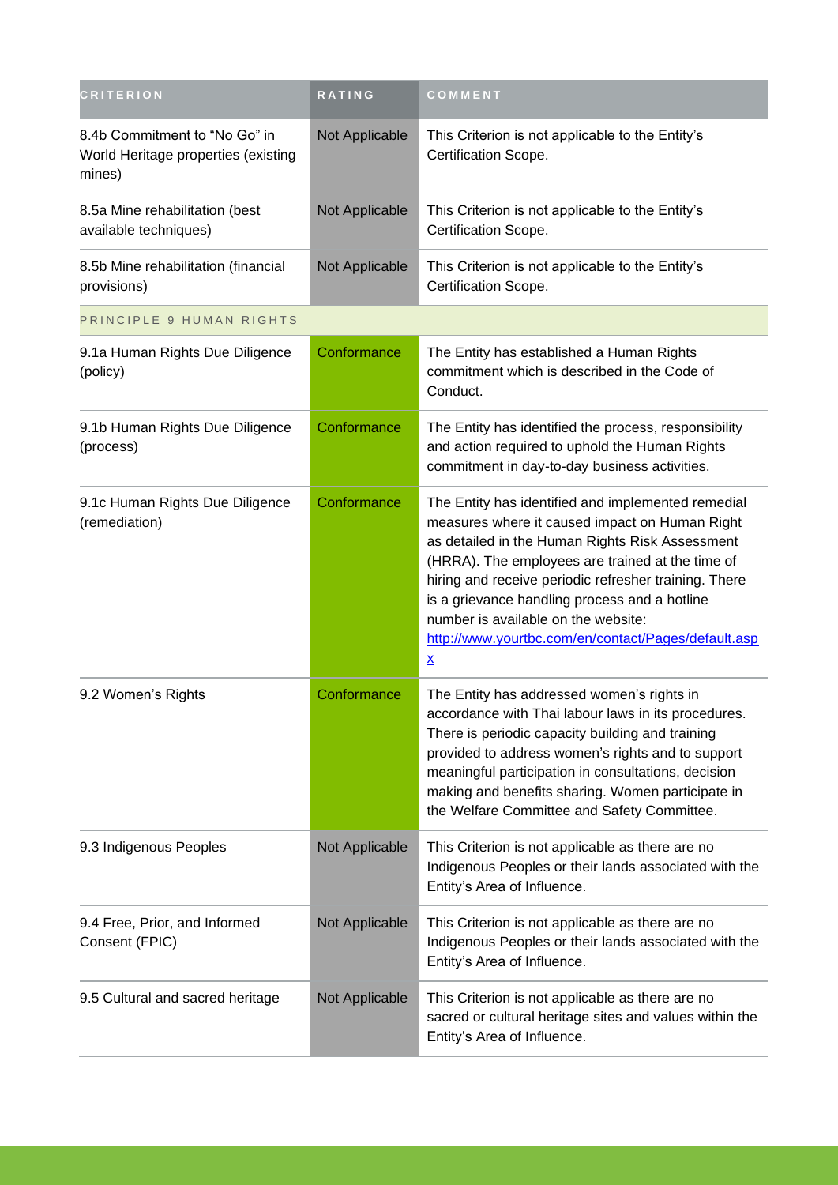| <b>CRITERION</b>                                                               | RATING         | COMMENT                                                                                                                                                                                                                                                                                                                                                                                                                                         |
|--------------------------------------------------------------------------------|----------------|-------------------------------------------------------------------------------------------------------------------------------------------------------------------------------------------------------------------------------------------------------------------------------------------------------------------------------------------------------------------------------------------------------------------------------------------------|
| 8.4b Commitment to "No Go" in<br>World Heritage properties (existing<br>mines) | Not Applicable | This Criterion is not applicable to the Entity's<br>Certification Scope.                                                                                                                                                                                                                                                                                                                                                                        |
| 8.5a Mine rehabilitation (best<br>available techniques)                        | Not Applicable | This Criterion is not applicable to the Entity's<br>Certification Scope.                                                                                                                                                                                                                                                                                                                                                                        |
| 8.5b Mine rehabilitation (financial<br>provisions)                             | Not Applicable | This Criterion is not applicable to the Entity's<br>Certification Scope.                                                                                                                                                                                                                                                                                                                                                                        |
| PRINCIPLE 9 HUMAN RIGHTS                                                       |                |                                                                                                                                                                                                                                                                                                                                                                                                                                                 |
| 9.1a Human Rights Due Diligence<br>(policy)                                    | Conformance    | The Entity has established a Human Rights<br>commitment which is described in the Code of<br>Conduct.                                                                                                                                                                                                                                                                                                                                           |
| 9.1b Human Rights Due Diligence<br>(process)                                   | Conformance    | The Entity has identified the process, responsibility<br>and action required to uphold the Human Rights<br>commitment in day-to-day business activities.                                                                                                                                                                                                                                                                                        |
| 9.1c Human Rights Due Diligence<br>(remediation)                               | Conformance    | The Entity has identified and implemented remedial<br>measures where it caused impact on Human Right<br>as detailed in the Human Rights Risk Assessment<br>(HRRA). The employees are trained at the time of<br>hiring and receive periodic refresher training. There<br>is a grievance handling process and a hotline<br>number is available on the website:<br>http://www.yourtbc.com/en/contact/Pages/default.asp<br>$\underline{\mathsf{X}}$ |
| 9.2 Women's Rights                                                             | Conformance    | The Entity has addressed women's rights in<br>accordance with Thai labour laws in its procedures.<br>There is periodic capacity building and training<br>provided to address women's rights and to support<br>meaningful participation in consultations, decision<br>making and benefits sharing. Women participate in<br>the Welfare Committee and Safety Committee.                                                                           |
| 9.3 Indigenous Peoples                                                         | Not Applicable | This Criterion is not applicable as there are no<br>Indigenous Peoples or their lands associated with the<br>Entity's Area of Influence.                                                                                                                                                                                                                                                                                                        |
| 9.4 Free, Prior, and Informed<br>Consent (FPIC)                                | Not Applicable | This Criterion is not applicable as there are no<br>Indigenous Peoples or their lands associated with the<br>Entity's Area of Influence.                                                                                                                                                                                                                                                                                                        |
| 9.5 Cultural and sacred heritage                                               | Not Applicable | This Criterion is not applicable as there are no<br>sacred or cultural heritage sites and values within the<br>Entity's Area of Influence.                                                                                                                                                                                                                                                                                                      |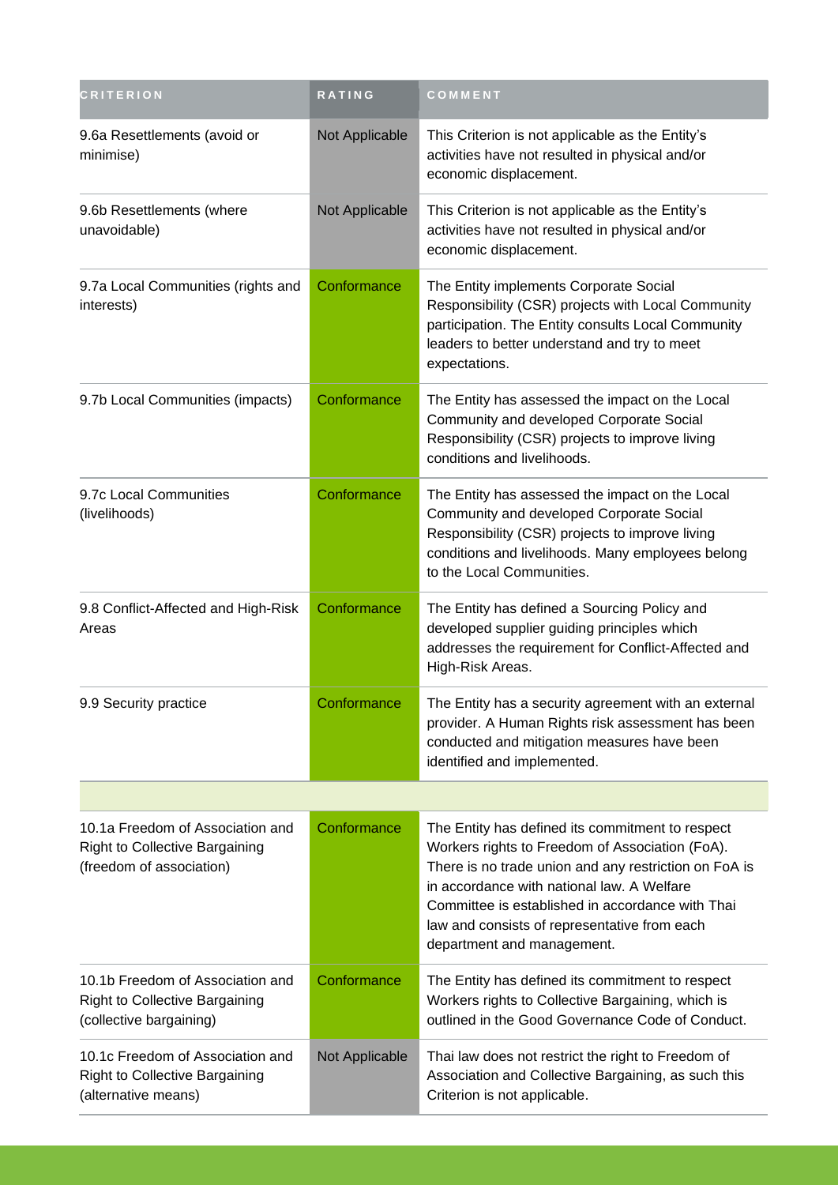| <b>CRITERION</b>                                                                                      | <b>RATING</b>  | COMMENT                                                                                                                                                                                                                                                                                                                                      |
|-------------------------------------------------------------------------------------------------------|----------------|----------------------------------------------------------------------------------------------------------------------------------------------------------------------------------------------------------------------------------------------------------------------------------------------------------------------------------------------|
| 9.6a Resettlements (avoid or<br>minimise)                                                             | Not Applicable | This Criterion is not applicable as the Entity's<br>activities have not resulted in physical and/or<br>economic displacement.                                                                                                                                                                                                                |
| 9.6b Resettlements (where<br>unavoidable)                                                             | Not Applicable | This Criterion is not applicable as the Entity's<br>activities have not resulted in physical and/or<br>economic displacement.                                                                                                                                                                                                                |
| 9.7a Local Communities (rights and<br>interests)                                                      | Conformance    | The Entity implements Corporate Social<br>Responsibility (CSR) projects with Local Community<br>participation. The Entity consults Local Community<br>leaders to better understand and try to meet<br>expectations.                                                                                                                          |
| 9.7b Local Communities (impacts)                                                                      | Conformance    | The Entity has assessed the impact on the Local<br>Community and developed Corporate Social<br>Responsibility (CSR) projects to improve living<br>conditions and livelihoods.                                                                                                                                                                |
| 9.7c Local Communities<br>(livelihoods)                                                               | Conformance    | The Entity has assessed the impact on the Local<br>Community and developed Corporate Social<br>Responsibility (CSR) projects to improve living<br>conditions and livelihoods. Many employees belong<br>to the Local Communities.                                                                                                             |
| 9.8 Conflict-Affected and High-Risk<br>Areas                                                          | Conformance    | The Entity has defined a Sourcing Policy and<br>developed supplier guiding principles which<br>addresses the requirement for Conflict-Affected and<br>High-Risk Areas.                                                                                                                                                                       |
| 9.9 Security practice                                                                                 | Conformance    | The Entity has a security agreement with an external<br>provider. A Human Rights risk assessment has been<br>conducted and mitigation measures have been<br>identified and implemented.                                                                                                                                                      |
|                                                                                                       |                |                                                                                                                                                                                                                                                                                                                                              |
| 10.1a Freedom of Association and<br><b>Right to Collective Bargaining</b><br>(freedom of association) | Conformance    | The Entity has defined its commitment to respect<br>Workers rights to Freedom of Association (FoA).<br>There is no trade union and any restriction on FoA is<br>in accordance with national law. A Welfare<br>Committee is established in accordance with Thai<br>law and consists of representative from each<br>department and management. |
| 10.1b Freedom of Association and<br><b>Right to Collective Bargaining</b><br>(collective bargaining)  | Conformance    | The Entity has defined its commitment to respect<br>Workers rights to Collective Bargaining, which is<br>outlined in the Good Governance Code of Conduct.                                                                                                                                                                                    |
| 10.1c Freedom of Association and<br><b>Right to Collective Bargaining</b><br>(alternative means)      | Not Applicable | Thai law does not restrict the right to Freedom of<br>Association and Collective Bargaining, as such this<br>Criterion is not applicable.                                                                                                                                                                                                    |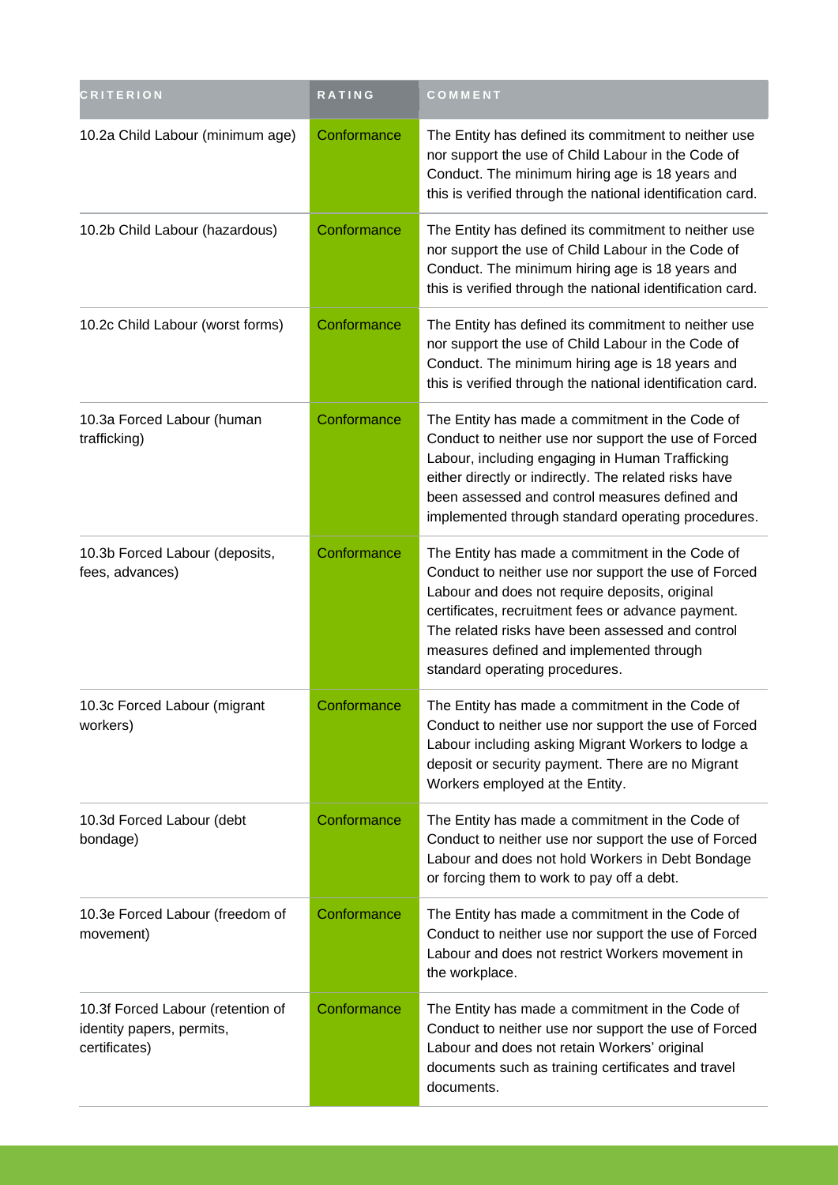| <b>CRITERION</b>                                                                | RATING      | COMMENT                                                                                                                                                                                                                                                                                                                                           |
|---------------------------------------------------------------------------------|-------------|---------------------------------------------------------------------------------------------------------------------------------------------------------------------------------------------------------------------------------------------------------------------------------------------------------------------------------------------------|
| 10.2a Child Labour (minimum age)                                                | Conformance | The Entity has defined its commitment to neither use<br>nor support the use of Child Labour in the Code of<br>Conduct. The minimum hiring age is 18 years and<br>this is verified through the national identification card.                                                                                                                       |
| 10.2b Child Labour (hazardous)                                                  | Conformance | The Entity has defined its commitment to neither use<br>nor support the use of Child Labour in the Code of<br>Conduct. The minimum hiring age is 18 years and<br>this is verified through the national identification card.                                                                                                                       |
| 10.2c Child Labour (worst forms)                                                | Conformance | The Entity has defined its commitment to neither use<br>nor support the use of Child Labour in the Code of<br>Conduct. The minimum hiring age is 18 years and<br>this is verified through the national identification card.                                                                                                                       |
| 10.3a Forced Labour (human<br>trafficking)                                      | Conformance | The Entity has made a commitment in the Code of<br>Conduct to neither use nor support the use of Forced<br>Labour, including engaging in Human Trafficking<br>either directly or indirectly. The related risks have<br>been assessed and control measures defined and<br>implemented through standard operating procedures.                       |
| 10.3b Forced Labour (deposits,<br>fees, advances)                               | Conformance | The Entity has made a commitment in the Code of<br>Conduct to neither use nor support the use of Forced<br>Labour and does not require deposits, original<br>certificates, recruitment fees or advance payment.<br>The related risks have been assessed and control<br>measures defined and implemented through<br>standard operating procedures. |
| 10.3c Forced Labour (migrant<br>workers)                                        | Conformance | The Entity has made a commitment in the Code of<br>Conduct to neither use nor support the use of Forced<br>Labour including asking Migrant Workers to lodge a<br>deposit or security payment. There are no Migrant<br>Workers employed at the Entity.                                                                                             |
| 10.3d Forced Labour (debt<br>bondage)                                           | Conformance | The Entity has made a commitment in the Code of<br>Conduct to neither use nor support the use of Forced<br>Labour and does not hold Workers in Debt Bondage<br>or forcing them to work to pay off a debt.                                                                                                                                         |
| 10.3e Forced Labour (freedom of<br>movement)                                    | Conformance | The Entity has made a commitment in the Code of<br>Conduct to neither use nor support the use of Forced<br>Labour and does not restrict Workers movement in<br>the workplace.                                                                                                                                                                     |
| 10.3f Forced Labour (retention of<br>identity papers, permits,<br>certificates) | Conformance | The Entity has made a commitment in the Code of<br>Conduct to neither use nor support the use of Forced<br>Labour and does not retain Workers' original<br>documents such as training certificates and travel<br>documents.                                                                                                                       |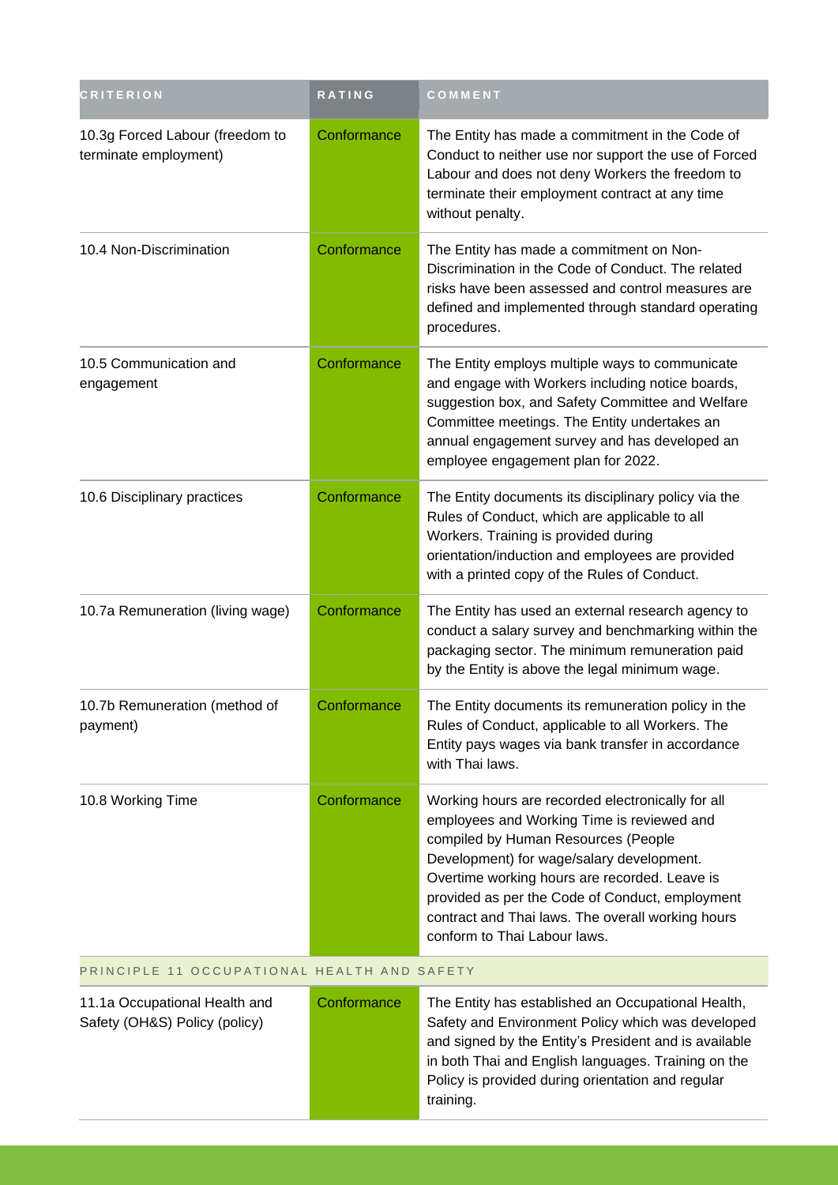| <b>CRITERION</b>                                               | <b>RATING</b> | COMMENT                                                                                                                                                                                                                                                                                                                                                                      |
|----------------------------------------------------------------|---------------|------------------------------------------------------------------------------------------------------------------------------------------------------------------------------------------------------------------------------------------------------------------------------------------------------------------------------------------------------------------------------|
| 10.3g Forced Labour (freedom to<br>terminate employment)       | Conformance   | The Entity has made a commitment in the Code of<br>Conduct to neither use nor support the use of Forced<br>Labour and does not deny Workers the freedom to<br>terminate their employment contract at any time<br>without penalty.                                                                                                                                            |
| 10.4 Non-Discrimination                                        | Conformance   | The Entity has made a commitment on Non-<br>Discrimination in the Code of Conduct. The related<br>risks have been assessed and control measures are<br>defined and implemented through standard operating<br>procedures.                                                                                                                                                     |
| 10.5 Communication and<br>engagement                           | Conformance   | The Entity employs multiple ways to communicate<br>and engage with Workers including notice boards,<br>suggestion box, and Safety Committee and Welfare<br>Committee meetings. The Entity undertakes an<br>annual engagement survey and has developed an<br>employee engagement plan for 2022.                                                                               |
| 10.6 Disciplinary practices                                    | Conformance   | The Entity documents its disciplinary policy via the<br>Rules of Conduct, which are applicable to all<br>Workers. Training is provided during<br>orientation/induction and employees are provided<br>with a printed copy of the Rules of Conduct.                                                                                                                            |
| 10.7a Remuneration (living wage)                               | Conformance   | The Entity has used an external research agency to<br>conduct a salary survey and benchmarking within the<br>packaging sector. The minimum remuneration paid<br>by the Entity is above the legal minimum wage.                                                                                                                                                               |
| 10.7b Remuneration (method of<br>payment)                      | Conformance   | The Entity documents its remuneration policy in the<br>Rules of Conduct, applicable to all Workers. The<br>Entity pays wages via bank transfer in accordance<br>with Thai laws.                                                                                                                                                                                              |
| 10.8 Working Time                                              | Conformance   | Working hours are recorded electronically for all<br>employees and Working Time is reviewed and<br>compiled by Human Resources (People<br>Development) for wage/salary development.<br>Overtime working hours are recorded. Leave is<br>provided as per the Code of Conduct, employment<br>contract and Thai laws. The overall working hours<br>conform to Thai Labour laws. |
| PRINCIPLE 11 OCCUPATIONAL HEALTH AND SAFETY                    |               |                                                                                                                                                                                                                                                                                                                                                                              |
| 11.1a Occupational Health and<br>Safety (OH&S) Policy (policy) | Conformance   | The Entity has established an Occupational Health,<br>Safety and Environment Policy which was developed<br>and signed by the Entity's President and is available<br>in both Thai and English languages. Training on the<br>Policy is provided during orientation and regular                                                                                                 |

training.